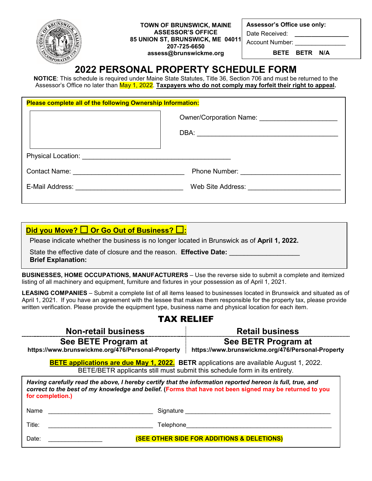

**TOWN OF BRUNSWICK, MAINE ASSESSOR'S OFFICE 85 UNION ST, BRUNSWICK, ME 04011 207-725-6650 assess@brunswickme.org**

**Assessor's Office use only:**

Date Received:

Account Number:

**BETE BETR N/A**

# **2022 PERSONAL PROPERTY SCHEDULE FORM**

**NOTICE**: This schedule is required under Maine State Statutes, Title 36, Section 706 and must be returned to the Assessor's Office no later than May 1, 2022. **Taxpayers who do not comply may forfeit their right to appeal.**

| Please complete all of the following Ownership Information: |  |  |  |  |  |  |
|-------------------------------------------------------------|--|--|--|--|--|--|
|                                                             |  |  |  |  |  |  |
|                                                             |  |  |  |  |  |  |
| Contact Name: <u>__________________________</u>             |  |  |  |  |  |  |
|                                                             |  |  |  |  |  |  |

**Did you Move? □ Or Go Out of Business? □:** 

Please indicate whether the business is no longer located in Brunswick as of **April 1, 2022.**

State the effective date of closure and the reason. **Effective Date: Brief Explanation:** 

**BUSINESSES, HOME OCCUPATIONS, MANUFACTURERS** – Use the reverse side to submit a complete and itemized listing of all machinery and equipment, furniture and fixtures in your possession as of April 1, 2021.

**LEASING COMPANIES** – Submit a complete list of all items leased to businesses located in Brunswick and situated as of April 1, 2021. If you have an agreement with the lessee that makes them responsible for the property tax, please provide written verification. Please provide the equipment type, business name and physical location for each item.

## TAX RELIEF

| <b>Non-retail business</b>                                                                                                                                                                                                               | <b>Retail business</b>                                                   |  |  |  |  |
|------------------------------------------------------------------------------------------------------------------------------------------------------------------------------------------------------------------------------------------|--------------------------------------------------------------------------|--|--|--|--|
| See BETE Program at<br>https://www.brunswickme.org/476/Personal-Property                                                                                                                                                                 | See BETR Program at<br>https://www.brunswickme.org/476/Personal-Property |  |  |  |  |
| <b>BETE applications are due May 1, 2022.</b> BETR applications are available August 1, 2022.<br>BETE/BETR applicants still must submit this schedule form in its entirety.                                                              |                                                                          |  |  |  |  |
| Having carefully read the above, I hereby certify that the information reported hereon is full, true, and<br>correct to the best of my knowledge and belief. (Forms that have not been signed may be returned to you<br>for completion.) |                                                                          |  |  |  |  |
| Name<br>Signature                                                                                                                                                                                                                        |                                                                          |  |  |  |  |
| Title:<br>Telephone                                                                                                                                                                                                                      |                                                                          |  |  |  |  |
| Date:                                                                                                                                                                                                                                    | <b>(SEE OTHER SIDE FOR ADDITIONS &amp; DELETIONS)</b>                    |  |  |  |  |